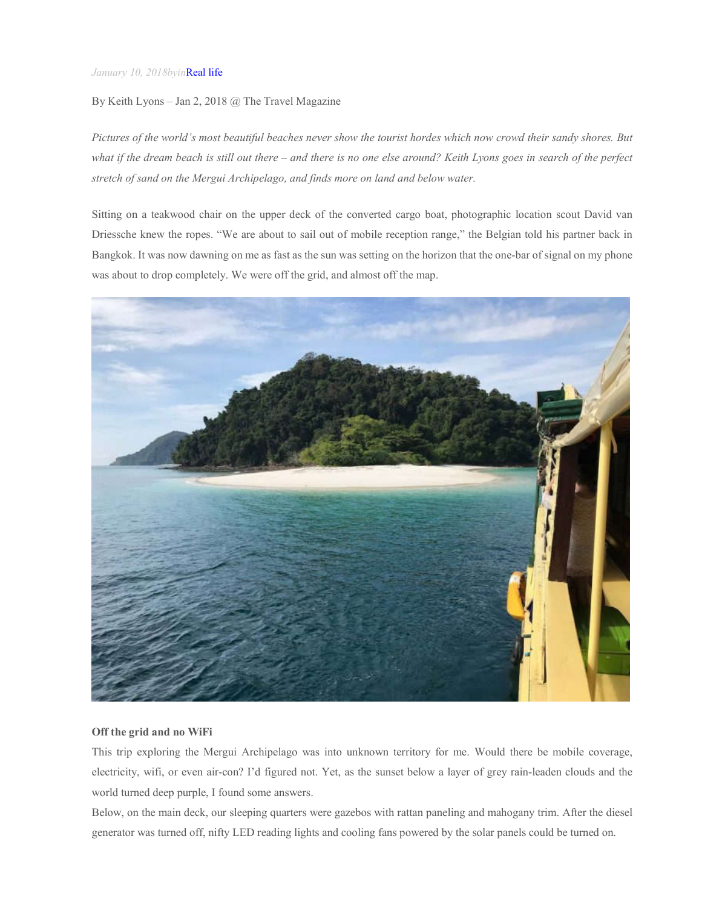### *January 10, 2018byin*Real life

# By Keith Lyons – Jan 2, 2018 @ The Travel Magazine

*Pictures of the world's most beautiful beaches never show the tourist hordes which now crowd their sandy shores. But what if the dream beach is still out there – and there is no one else around? Keith Lyons goes in search of the perfect stretch of sand on the Mergui Archipelago, and finds more on land and below water.*

Sitting on a teakwood chair on the upper deck of the converted cargo boat, photographic location scout David van Driessche knew the ropes. "We are about to sail out of mobile reception range," the Belgian told his partner back in Bangkok. It was now dawning on me as fast as the sun was setting on the horizon that the one-bar of signal on my phone was about to drop completely. We were off the grid, and almost off the map.



### **Off the grid and no WiFi**

This trip exploring the Mergui Archipelago was into unknown territory for me. Would there be mobile coverage, electricity, wifi, or even air-con? I'd figured not. Yet, as the sunset below a layer of grey rain-leaden clouds and the world turned deep purple, I found some answers.

Below, on the main deck, our sleeping quarters were gazebos with rattan paneling and mahogany trim. After the diesel generator was turned off, nifty LED reading lights and cooling fans powered by the solar panels could be turned on.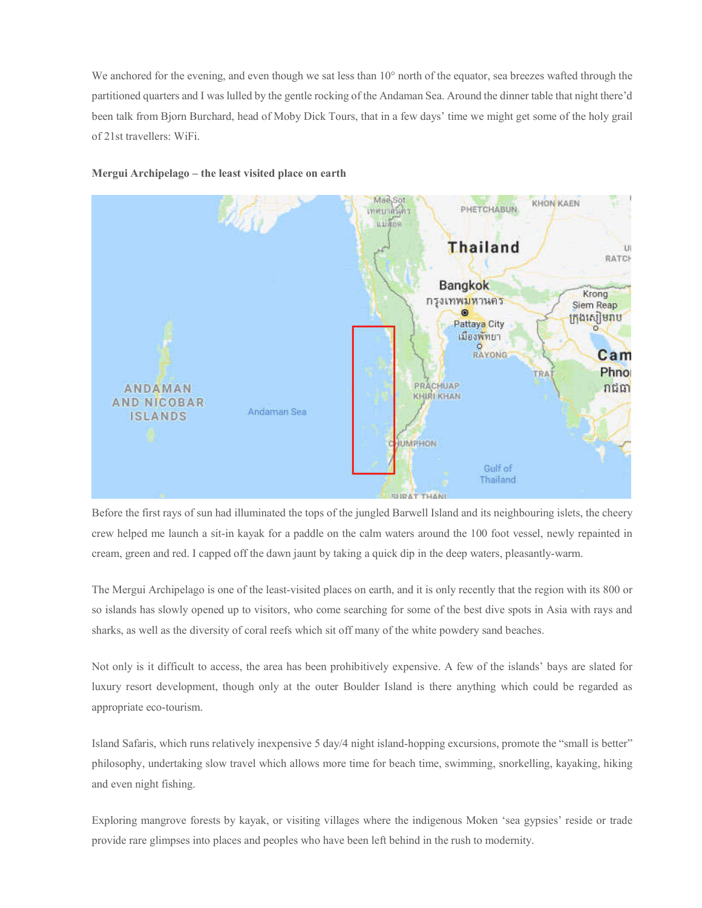We anchored for the evening, and even though we sat less than 10° north of the equator, sea breezes wafted through the partitioned quarters and I was lulled by the gentle rocking of the Andaman Sea. Around the dinner table that night there'd been talk from Bjorn Burchard, head of Moby Dick Tours, that in a few days' time we might get some of the holy grail of 21st travellers: WiFi.





Before the first rays of sun had illuminated the tops of the jungled Barwell Island and its neighbouring islets, the cheery crew helped me launch a sit-in kayak for a paddle on the calm waters around the 100 foot vessel, newly repainted in cream, green and red. I capped off the dawn jaunt by taking a quick dip in the deep waters, pleasantly-warm.

The Mergui Archipelago is one of the least-visited places on earth, and it is only recently that the region with its 800 or so islands has slowly opened up to visitors, who come searching for some of the best dive spots in Asia with rays and sharks, as well as the diversity of coral reefs which sit off many of the white powdery sand beaches.

Not only is it difficult to access, the area has been prohibitively expensive. A few of the islands' bays are slated for luxury resort development, though only at the outer Boulder Island is there anything which could be regarded as appropriate eco-tourism.

Island Safaris, which runs relatively inexpensive 5 day/4 night island-hopping excursions, promote the "small is better" philosophy, undertaking slow travel which allows more time for beach time, swimming, snorkelling, kayaking, hiking and even night fishing.

Exploring mangrove forests by kayak, or visiting villages where the indigenous Moken 'sea gypsies' reside or trade provide rare glimpses into places and peoples who have been left behind in the rush to modernity.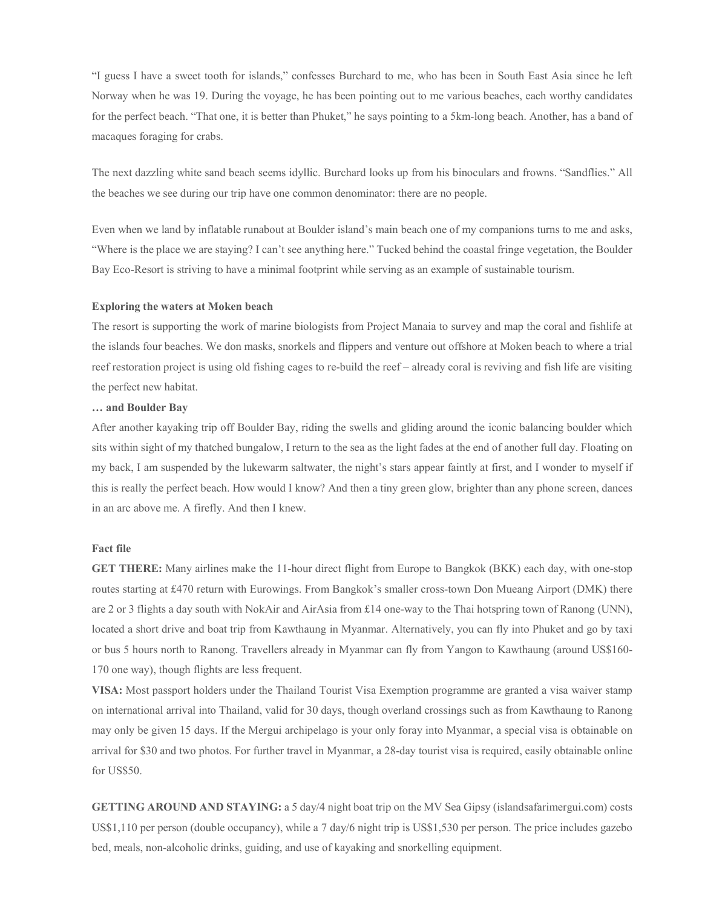"I guess I have a sweet tooth for islands," confesses Burchard to me, who has been in South East Asia since he left Norway when he was 19. During the voyage, he has been pointing out to me various beaches, each worthy candidates for the perfect beach. "That one, it is better than Phuket," he says pointing to a 5km-long beach. Another, has a band of macaques foraging for crabs.

The next dazzling white sand beach seems idyllic. Burchard looks up from his binoculars and frowns. "Sandflies." All the beaches we see during our trip have one common denominator: there are no people.

Even when we land by inflatable runabout at Boulder island's main beach one of my companions turns to me and asks, "Where is the place we are staying? I can't see anything here." Tucked behind the coastal fringe vegetation, the Boulder Bay Eco-Resort is striving to have a minimal footprint while serving as an example of sustainable tourism.

#### **Exploring the waters at Moken beach**

The resort is supporting the work of marine biologists from Project Manaia to survey and map the coral and fishlife at the islands four beaches. We don masks, snorkels and flippers and venture out offshore at Moken beach to where a trial reef restoration project is using old fishing cages to re-build the reef – already coral is reviving and fish life are visiting the perfect new habitat.

#### **… and Boulder Bay**

After another kayaking trip off Boulder Bay, riding the swells and gliding around the iconic balancing boulder which sits within sight of my thatched bungalow, I return to the sea as the light fades at the end of another full day. Floating on my back, I am suspended by the lukewarm saltwater, the night's stars appear faintly at first, and I wonder to myself if this is really the perfect beach. How would I know? And then a tiny green glow, brighter than any phone screen, dances in an arc above me. A firefly. And then I knew.

# **Fact file**

**GET THERE:** Many airlines make the 11-hour direct flight from Europe to Bangkok (BKK) each day, with one-stop routes starting at £470 return with Eurowings. From Bangkok's smaller cross-town Don Mueang Airport (DMK) there are 2 or 3 flights a day south with NokAir and AirAsia from £14 one-way to the Thai hotspring town of Ranong (UNN), located a short drive and boat trip from Kawthaung in Myanmar. Alternatively, you can fly into Phuket and go by taxi or bus 5 hours north to Ranong. Travellers already in Myanmar can fly from Yangon to Kawthaung (around US\$160- 170 one way), though flights are less frequent.

**VISA:** Most passport holders under the Thailand Tourist Visa Exemption programme are granted a visa waiver stamp on international arrival into Thailand, valid for 30 days, though overland crossings such as from Kawthaung to Ranong may only be given 15 days. If the Mergui archipelago is your only foray into Myanmar, a special visa is obtainable on arrival for \$30 and two photos. For further travel in Myanmar, a 28-day tourist visa is required, easily obtainable online for US\$50.

**GETTING AROUND AND STAYING:** a 5 day/4 night boat trip on the MV Sea Gipsy (islandsafarimergui.com) costs US\$1,110 per person (double occupancy), while a 7 day/6 night trip is US\$1,530 per person. The price includes gazebo bed, meals, non-alcoholic drinks, guiding, and use of kayaking and snorkelling equipment.